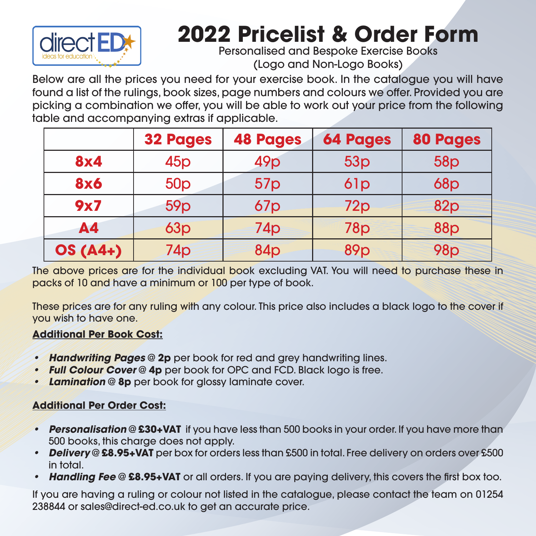

# **2022 Pricelist & Order Form**

Personalised and Bespoke Exercise Books (Logo and Non-Logo Books)

Below are all the prices you need for your exercise book. In the catalogue you will have found a list of the rulings, book sizes, page numbers and colours we offer. Provided you are picking a combination we offer, you will be able to work out your price from the following table and accompanying extras if applicable.

|                 | <b>32 Pages</b> | <b>48 Pages</b> | <b>64 Pages</b> | <b>80 Pages</b> |  |
|-----------------|-----------------|-----------------|-----------------|-----------------|--|
| <b>8x4</b>      | 45p             | 49 <sub>p</sub> | 53p             | 58p             |  |
| <b>8x6</b>      | 50 <sub>p</sub> | 57 <sub>p</sub> | 61p             | 68p             |  |
| 9x7             | 59 <sub>p</sub> | 67 <sub>p</sub> | 72p             | <b>82p</b>      |  |
| <b>A4</b>       | 63p             | 74p             | <b>78p</b>      | <b>88p</b>      |  |
| <b>OS (A4+)</b> | 74p             | 84 <sub>p</sub> | <b>89p</b>      | <b>98p</b>      |  |

The above prices are for the individual book excluding VAT. You will need to purchase these in packs of 10 and have a minimum or 100 per type of book.

These prices are for any ruling with any colour. This price also includes a black logo to the cover if you wish to have one.

### **Additional Per Book Cost:**

- *• Handwriting Pages* @ **2p** per book for red and grey handwriting lines.
- *•• Full Colour Cover* @ 4p per book for OPC and FCD. Black logo is free.
- *• Lamination* @ **8p** per book for glossy laminate cover.

### **Additional Per Order Cost:**

- *• Personalisation* @ **£30+VAT** if you have less than 500 books in your order. If you have more than 500 books, this charge does not apply.
- *• Delivery* @ **£8.95+VAT** per box for orders less than £500 in total. Free delivery on orders over £500 in total.
- *• Handling Fee* @ **£8.95+VAT** or all orders. If you are paying delivery, this covers the first box too.

If you are having a ruling or colour not listed in the catalogue, please contact the team on 01254 238844 or sales@direct-ed.co.uk to get an accurate price.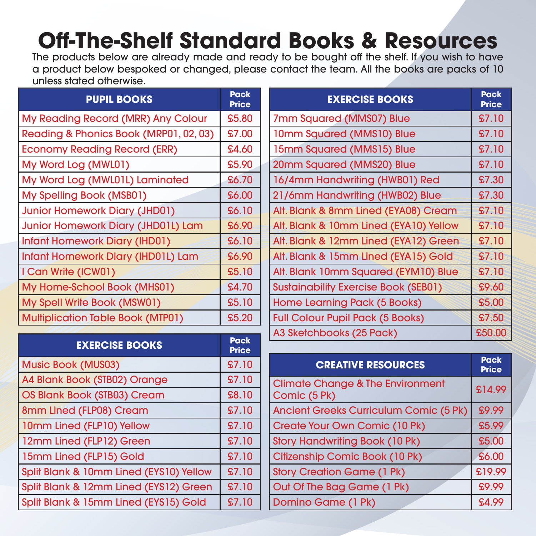# **Off-The-Shelf Standard Books & Resources**

The products below are already made and ready to be bought off the shelf. If you wish to have a product below bespoked or changed, please contact the team. All the books are packs of 10 unless stated otherwise.

| <b>PUPIL BOOKS</b>                       |          |                                                                                     | <b>EXERCISE BOOKS</b>                       | <b>Pack</b><br><b>Price</b> |
|------------------------------------------|----------|-------------------------------------------------------------------------------------|---------------------------------------------|-----------------------------|
| My Reading Record (MRR) Any Colour       | £5.80    |                                                                                     | 7mm Squared (MMS07) Blue                    | £7.10                       |
| Reading & Phonics Book (MRP01, 02, 03)   |          |                                                                                     | 10mm Squared (MMS10) Blue                   | £7.10                       |
| <b>Economy Reading Record (ERR)</b>      |          |                                                                                     | 15mm Squared (MMS15) Blue                   | \$7.10                      |
| My Word Log (MWL01)                      |          |                                                                                     | 20mm Squared (MMS20) Blue                   | £7.10                       |
| My Word Log (MWL01L) Laminated           | \$6.70\$ |                                                                                     | 16/4mm Handwriting (HWB01) Red              | £7.30                       |
| My Spelling Book (MSB01)                 | £6.00    | 21/6mm Handwriting (HWB02) Blue<br>Alt. Blank & 8mm Lined (EYA08) Cream<br>\$6.10\$ |                                             | £7.30                       |
| <b>Junior Homework Diary (JHD01)</b>     |          |                                                                                     |                                             | \$7.10                      |
| Junior Homework Diary (JHD01L) Lam       | £6.90    |                                                                                     | Alt. Blank & 10mm Lined (EYA10) Yellow      | \$7.10                      |
| <b>Infant Homework Diary (IHD01)</b>     | \$6.10\$ |                                                                                     | Alt. Blank & 12mm Lined (EYA12) Green       | \$7.10                      |
| Infant Homework Diary (IHD01L) Lam       |          | £6.90<br>Alt. Blank & 15mm Lined (EYA15) Gold                                       |                                             | \$7.10                      |
| I Can Write (ICW01)                      | \$5.10\$ |                                                                                     | Alt. Blank 10mm Squared (EYM10) Blue        | \$7.10                      |
| My Home-School Book (MHS01)              | £4.70    |                                                                                     | <b>Sustainability Exercise Book (SEB01)</b> | £9.60                       |
| My Spell Write Book (MSW01)              | \$5.10\$ | <b>Home Learning Pack (5 Books)</b>                                                 |                                             | £5.00                       |
| <b>Multiplication Table Book (MTP01)</b> | \$5.20\$ |                                                                                     | <b>Full Colour Pupil Pack (5 Books)</b>     | £7.50                       |
|                                          |          |                                                                                     | A3 Sketchbooks (25 Pack)                    | £50.00                      |

| <b>EXERCISE BOOKS</b>                   | <b>Pack</b><br><b>Price</b> |
|-----------------------------------------|-----------------------------|
| <b>Music Book (MUS03)</b>               | £7.10                       |
| A4 Blank Book (STB02) Orange            | £7.10                       |
| OS Blank Book (STB03) Cream             | £8.10                       |
| 8mm Lined (FLP08) Cream                 | £7.10                       |
| 10mm Lined (FLP10) Yellow               | \$7.10                      |
| 12mm Lined (FLP12) Green                | £7.10                       |
| 15mm Lined (FLP15) Gold                 | £7.10                       |
| Split Blank & 10mm Lined (EYS10) Yellow | £7.10                       |
| Split Blank & 12mm Lined (EYS12) Green  | £7.10                       |
| Split Blank & 15mm Lined (EYS15) Gold   | £7.10                       |

| <b>CREATIVE RESOURCES</b>                                   | <b>Pack</b><br><b>Price</b> |
|-------------------------------------------------------------|-----------------------------|
| <b>Climate Change &amp; The Environment</b><br>Comic (5 Pk) | £14.99                      |
| <b>Ancient Greeks Curriculum Comic (5 Pk)</b>               | £9.99                       |
| Create Your Own Comic (10 Pk)                               | £5.99                       |
| <b>Story Handwriting Book (10 Pk)</b>                       | £5.00                       |
| Citizenship Comic Book (10 Pk)                              | £6.00                       |
| <b>Story Creation Game (1 Pk)</b>                           | £19.99                      |
| Out Of The Bag Game (1 Pk)                                  | £9.99                       |
| Domino Game (1 Pk)                                          | £4.99                       |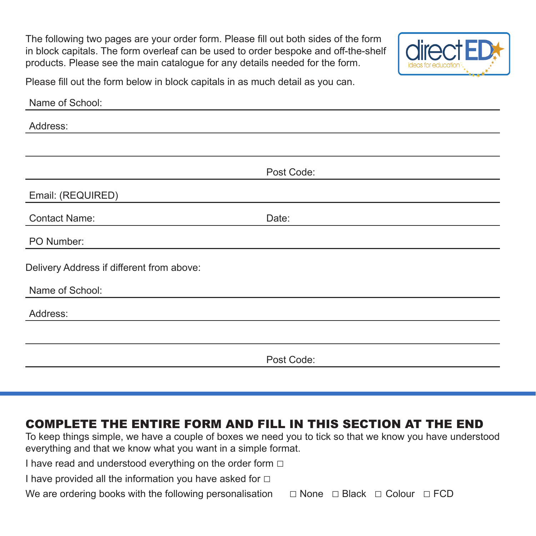The following two pages are your order form. Please fill out both sides of the form in block capitals. The form overleaf can be used to order bespoke and off-the-shelf products. Please see the main catalogue for any details needed for the form.



Please fill out the form below in block capitals in as much detail as you can.

| Name of School:                           |            |
|-------------------------------------------|------------|
| Address:                                  |            |
|                                           |            |
|                                           | Post Code: |
| Email: (REQUIRED)                         |            |
| <b>Contact Name:</b>                      | Date:      |
| PO Number:                                |            |
| Delivery Address if different from above: |            |
| Name of School:                           |            |
| Address:                                  |            |
|                                           |            |
|                                           | Post Code: |

## COMPLETE THE ENTIRE FORM AND FILL IN THIS SECTION AT THE END

To keep things simple, we have a couple of boxes we need you to tick so that we know you have understood everything and that we know what you want in a simple format.

I have read and understood everything on the order form □

I have provided all the information you have asked for  $\Box$ 

We are ordering books with the following personalisation  $□$  None  $□$  Black  $□$  Colour  $□$  FCD